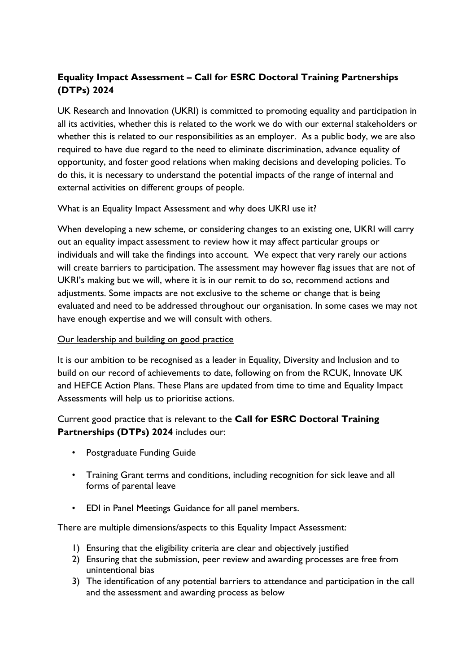# **Equality Impact Assessment – Call for ESRC Doctoral Training Partnerships (DTPs) 2024**

UK Research and Innovation (UKRI) is committed to promoting equality and participation in all its activities, whether this is related to the work we do with our external stakeholders or whether this is related to our responsibilities as an employer. As a public body, we are also required to have due regard to the need to eliminate discrimination, advance equality of opportunity, and foster good relations when making decisions and developing policies. To do this, it is necessary to understand the potential impacts of the range of internal and external activities on different groups of people.

What is an Equality Impact Assessment and why does UKRI use it?

When developing a new scheme, or considering changes to an existing one, UKRI will carry out an equality impact assessment to review how it may affect particular groups or individuals and will take the findings into account. We expect that very rarely our actions will create barriers to participation. The assessment may however flag issues that are not of UKRI's making but we will, where it is in our remit to do so, recommend actions and adjustments. Some impacts are not exclusive to the scheme or change that is being evaluated and need to be addressed throughout our organisation. In some cases we may not have enough expertise and we will consult with others.

### Our leadership and building on good practice

It is our ambition to be recognised as a leader in Equality, Diversity and Inclusion and to build on our record of achievements to date, following on from the RCUK, Innovate UK and HEFCE Action Plans. These Plans are updated from time to time and Equality Impact Assessments will help us to prioritise actions.

Current good practice that is relevant to the **Call for ESRC Doctoral Training Partnerships (DTPs) 2024** includes our:

- Postgraduate Funding Guide
- Training Grant terms and conditions, including recognition for sick leave and all forms of parental leave
- EDI in Panel Meetings Guidance for all panel members.

There are multiple dimensions/aspects to this Equality Impact Assessment:

- 1) Ensuring that the eligibility criteria are clear and objectively justified
- 2) Ensuring that the submission, peer review and awarding processes are free from unintentional bias
- 3) The identification of any potential barriers to attendance and participation in the call and the assessment and awarding process as below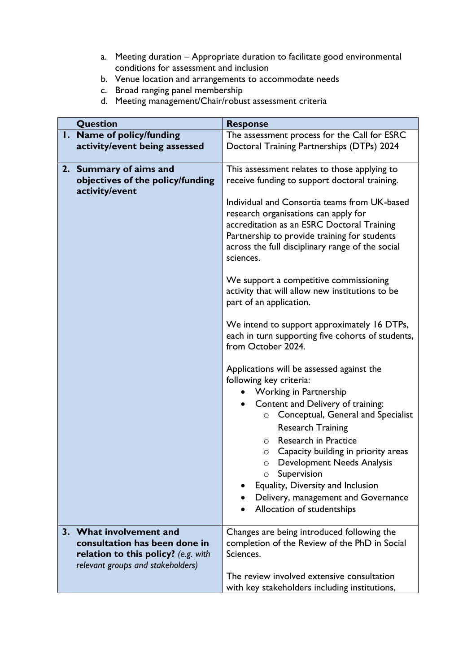- a. Meeting duration Appropriate duration to facilitate good environmental conditions for assessment and inclusion
- b. Venue location and arrangements to accommodate needs
- c. Broad ranging panel membership
- d. Meeting management/Chair/robust assessment criteria

| Question                                                             | <b>Response</b>                                                                                                                                                                                                                                     |  |  |
|----------------------------------------------------------------------|-----------------------------------------------------------------------------------------------------------------------------------------------------------------------------------------------------------------------------------------------------|--|--|
| 1. Name of policy/funding                                            | The assessment process for the Call for ESRC                                                                                                                                                                                                        |  |  |
| activity/event being assessed                                        | Doctoral Training Partnerships (DTPs) 2024                                                                                                                                                                                                          |  |  |
| 2. Summary of aims and                                               | This assessment relates to those applying to                                                                                                                                                                                                        |  |  |
| objectives of the policy/funding                                     | receive funding to support doctoral training.                                                                                                                                                                                                       |  |  |
| activity/event                                                       | Individual and Consortia teams from UK-based<br>research organisations can apply for<br>accreditation as an ESRC Doctoral Training<br>Partnership to provide training for students<br>across the full disciplinary range of the social<br>sciences. |  |  |
|                                                                      | We support a competitive commissioning<br>activity that will allow new institutions to be<br>part of an application.                                                                                                                                |  |  |
|                                                                      | We intend to support approximately 16 DTPs,<br>each in turn supporting five cohorts of students,<br>from October 2024.                                                                                                                              |  |  |
|                                                                      | Applications will be assessed against the<br>following key criteria:                                                                                                                                                                                |  |  |
|                                                                      | <b>Working in Partnership</b>                                                                                                                                                                                                                       |  |  |
|                                                                      | Content and Delivery of training:<br>$\bullet$<br>Conceptual, General and Specialist<br>$\circ$                                                                                                                                                     |  |  |
|                                                                      | <b>Research Training</b><br><b>Research in Practice</b><br>$\circ$                                                                                                                                                                                  |  |  |
|                                                                      | Capacity building in priority areas<br>$\circ$                                                                                                                                                                                                      |  |  |
|                                                                      | Development Needs Analysis<br>$\circ$                                                                                                                                                                                                               |  |  |
|                                                                      | Supervision<br>Equality, Diversity and Inclusion                                                                                                                                                                                                    |  |  |
|                                                                      | Delivery, management and Governance                                                                                                                                                                                                                 |  |  |
|                                                                      | Allocation of studentships                                                                                                                                                                                                                          |  |  |
| 3. What involvement and                                              | Changes are being introduced following the                                                                                                                                                                                                          |  |  |
| consultation has been done in<br>relation to this policy? (e.g. with | completion of the Review of the PhD in Social<br>Sciences.                                                                                                                                                                                          |  |  |
| relevant groups and stakeholders)                                    |                                                                                                                                                                                                                                                     |  |  |
|                                                                      | The review involved extensive consultation                                                                                                                                                                                                          |  |  |
|                                                                      | with key stakeholders including institutions,                                                                                                                                                                                                       |  |  |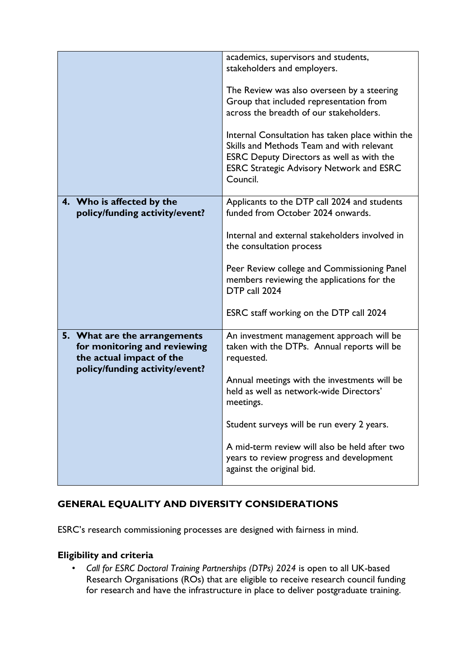|                                                                                                                            | academics, supervisors and students,<br>stakeholders and employers.                                                                                                                                       |
|----------------------------------------------------------------------------------------------------------------------------|-----------------------------------------------------------------------------------------------------------------------------------------------------------------------------------------------------------|
|                                                                                                                            | The Review was also overseen by a steering<br>Group that included representation from<br>across the breadth of our stakeholders.                                                                          |
|                                                                                                                            | Internal Consultation has taken place within the<br>Skills and Methods Team and with relevant<br>ESRC Deputy Directors as well as with the<br><b>ESRC Strategic Advisory Network and ESRC</b><br>Council. |
| 4. Who is affected by the<br>policy/funding activity/event?                                                                | Applicants to the DTP call 2024 and students<br>funded from October 2024 onwards.                                                                                                                         |
|                                                                                                                            | Internal and external stakeholders involved in<br>the consultation process                                                                                                                                |
|                                                                                                                            | Peer Review college and Commissioning Panel<br>members reviewing the applications for the<br>DTP call 2024                                                                                                |
|                                                                                                                            | ESRC staff working on the DTP call 2024                                                                                                                                                                   |
| 5. What are the arrangements<br>for monitoring and reviewing<br>the actual impact of the<br>policy/funding activity/event? | An investment management approach will be<br>taken with the DTPs. Annual reports will be<br>requested.                                                                                                    |
|                                                                                                                            | Annual meetings with the investments will be<br>held as well as network-wide Directors'<br>meetings.                                                                                                      |
|                                                                                                                            | Student surveys will be run every 2 years.                                                                                                                                                                |
|                                                                                                                            | A mid-term review will also be held after two<br>years to review progress and development<br>against the original bid.                                                                                    |

## **GENERAL EQUALITY AND DIVERSITY CONSIDERATIONS**

ESRC's research commissioning processes are designed with fairness in mind.

## **Eligibility and criteria**

• *Call for ESRC Doctoral Training Partnerships (DTPs) 2024* is open to all UK-based Research Organisations (ROs) that are eligible to receive research council funding for research and have the infrastructure in place to deliver postgraduate training.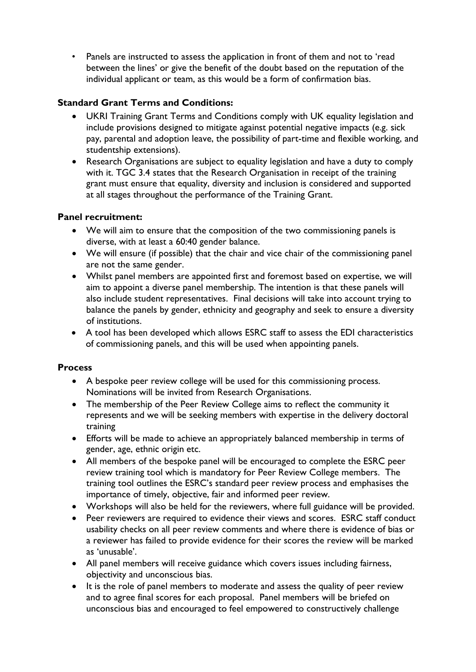• Panels are instructed to assess the application in front of them and not to 'read between the lines' or give the benefit of the doubt based on the reputation of the individual applicant or team, as this would be a form of confirmation bias.

## **Standard Grant Terms and Conditions:**

- UKRI Training Grant Terms and Conditions comply with UK equality legislation and include provisions designed to mitigate against potential negative impacts (e.g. sick pay, parental and adoption leave, the possibility of part-time and flexible working, and studentship extensions).
- Research Organisations are subject to equality legislation and have a duty to comply with it. TGC 3.4 states that the Research Organisation in receipt of the training grant must ensure that equality, diversity and inclusion is considered and supported at all stages throughout the performance of the Training Grant.

#### **Panel recruitment:**

- We will aim to ensure that the composition of the two commissioning panels is diverse, with at least a 60:40 gender balance.
- We will ensure (if possible) that the chair and vice chair of the commissioning panel are not the same gender.
- Whilst panel members are appointed first and foremost based on expertise, we will aim to appoint a diverse panel membership. The intention is that these panels will also include student representatives. Final decisions will take into account trying to balance the panels by gender, ethnicity and geography and seek to ensure a diversity of institutions.
- A tool has been developed which allows ESRC staff to assess the EDI characteristics of commissioning panels, and this will be used when appointing panels.

#### **Process**

- A bespoke peer review college will be used for this commissioning process. Nominations will be invited from Research Organisations.
- The membership of the Peer Review College aims to reflect the community it represents and we will be seeking members with expertise in the delivery doctoral training
- Efforts will be made to achieve an appropriately balanced membership in terms of gender, age, ethnic origin etc.
- All members of the bespoke panel will be encouraged to complete the ESRC peer review training tool which is mandatory for Peer Review College members. The training tool outlines the ESRC's standard peer review process and emphasises the importance of timely, objective, fair and informed peer review.
- Workshops will also be held for the reviewers, where full guidance will be provided.
- Peer reviewers are required to evidence their views and scores. ESRC staff conduct usability checks on all peer review comments and where there is evidence of bias or a reviewer has failed to provide evidence for their scores the review will be marked as 'unusable'.
- All panel members will receive guidance which covers issues including fairness, objectivity and unconscious bias.
- It is the role of panel members to moderate and assess the quality of peer review and to agree final scores for each proposal. Panel members will be briefed on unconscious bias and encouraged to feel empowered to constructively challenge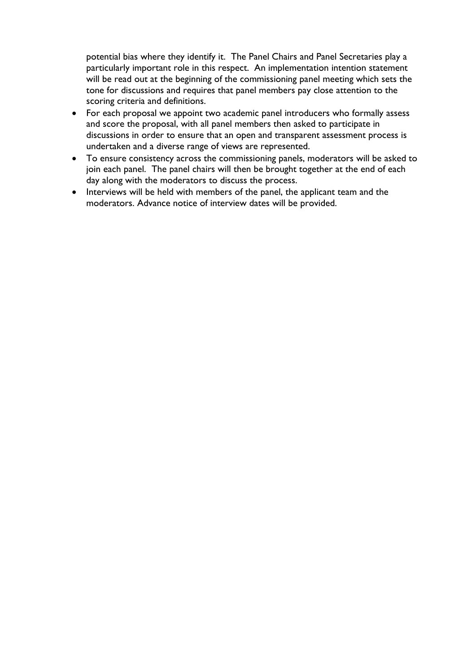potential bias where they identify it. The Panel Chairs and Panel Secretaries play a particularly important role in this respect. An implementation intention statement will be read out at the beginning of the commissioning panel meeting which sets the tone for discussions and requires that panel members pay close attention to the scoring criteria and definitions.

- For each proposal we appoint two academic panel introducers who formally assess and score the proposal, with all panel members then asked to participate in discussions in order to ensure that an open and transparent assessment process is undertaken and a diverse range of views are represented.
- To ensure consistency across the commissioning panels, moderators will be asked to join each panel. The panel chairs will then be brought together at the end of each day along with the moderators to discuss the process.
- Interviews will be held with members of the panel, the applicant team and the moderators. Advance notice of interview dates will be provided.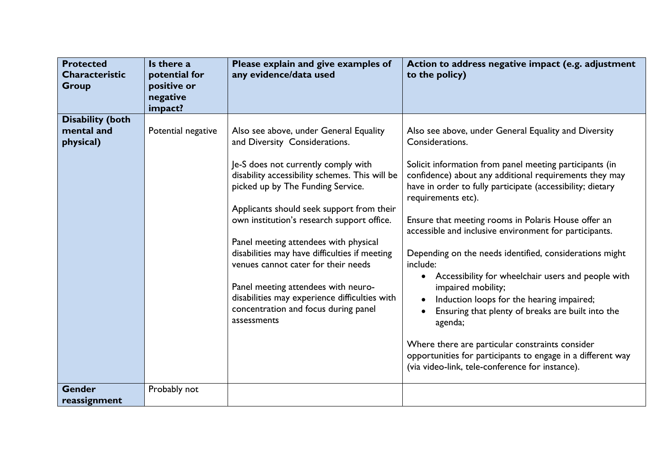| <b>Protected</b><br><b>Characteristic</b><br><b>Group</b> | Is there a<br>potential for<br>positive or<br>negative<br>impact? | Please explain and give examples of<br>any evidence/data used                                                                                                                                                                                                                                                                                                                                                                                                                                                                                                                    | Action to address negative impact (e.g. adjustment<br>to the policy)                                                                                                                                                                                                                                                                                                                                                                                                                                                                                                                                                                                                                                                                                                                                                                                |  |
|-----------------------------------------------------------|-------------------------------------------------------------------|----------------------------------------------------------------------------------------------------------------------------------------------------------------------------------------------------------------------------------------------------------------------------------------------------------------------------------------------------------------------------------------------------------------------------------------------------------------------------------------------------------------------------------------------------------------------------------|-----------------------------------------------------------------------------------------------------------------------------------------------------------------------------------------------------------------------------------------------------------------------------------------------------------------------------------------------------------------------------------------------------------------------------------------------------------------------------------------------------------------------------------------------------------------------------------------------------------------------------------------------------------------------------------------------------------------------------------------------------------------------------------------------------------------------------------------------------|--|
| <b>Disability (both</b><br>mental and<br>physical)        | Potential negative                                                | Also see above, under General Equality<br>and Diversity Considerations.<br>Je-S does not currently comply with<br>disability accessibility schemes. This will be<br>picked up by The Funding Service.<br>Applicants should seek support from their<br>own institution's research support office.<br>Panel meeting attendees with physical<br>disabilities may have difficulties if meeting<br>venues cannot cater for their needs<br>Panel meeting attendees with neuro-<br>disabilities may experience difficulties with<br>concentration and focus during panel<br>assessments | Also see above, under General Equality and Diversity<br>Considerations.<br>Solicit information from panel meeting participants (in<br>confidence) about any additional requirements they may<br>have in order to fully participate (accessibility; dietary<br>requirements etc).<br>Ensure that meeting rooms in Polaris House offer an<br>accessible and inclusive environment for participants.<br>Depending on the needs identified, considerations might<br>include:<br>Accessibility for wheelchair users and people with<br>$\bullet$<br>impaired mobility;<br>Induction loops for the hearing impaired;<br>Ensuring that plenty of breaks are built into the<br>agenda;<br>Where there are particular constraints consider<br>opportunities for participants to engage in a different way<br>(via video-link, tele-conference for instance). |  |
| <b>Gender</b><br>reassignment                             | Probably not                                                      |                                                                                                                                                                                                                                                                                                                                                                                                                                                                                                                                                                                  |                                                                                                                                                                                                                                                                                                                                                                                                                                                                                                                                                                                                                                                                                                                                                                                                                                                     |  |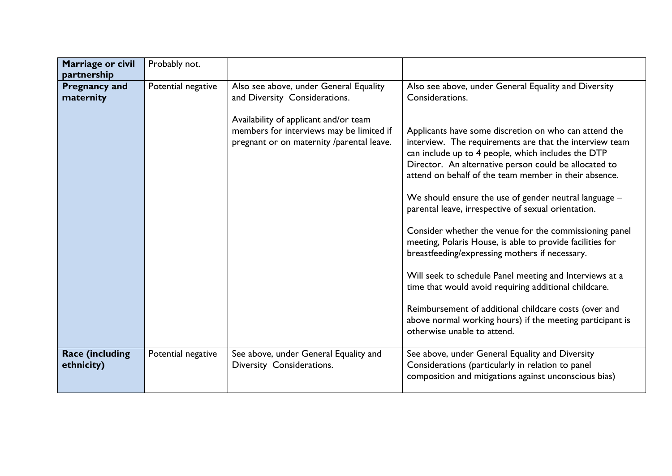| Marriage or civil                                | Probably not.      |                                                                                                                                                                                                           |                                                                                                                                                                                                                                                                                                                                                                                                                                                                                                                                                                                                                                                              |
|--------------------------------------------------|--------------------|-----------------------------------------------------------------------------------------------------------------------------------------------------------------------------------------------------------|--------------------------------------------------------------------------------------------------------------------------------------------------------------------------------------------------------------------------------------------------------------------------------------------------------------------------------------------------------------------------------------------------------------------------------------------------------------------------------------------------------------------------------------------------------------------------------------------------------------------------------------------------------------|
| partnership<br><b>Pregnancy and</b><br>maternity | Potential negative | Also see above, under General Equality<br>and Diversity Considerations.<br>Availability of applicant and/or team<br>members for interviews may be limited if<br>pregnant or on maternity /parental leave. | Also see above, under General Equality and Diversity<br>Considerations.<br>Applicants have some discretion on who can attend the<br>interview. The requirements are that the interview team<br>can include up to 4 people, which includes the DTP<br>Director. An alternative person could be allocated to<br>attend on behalf of the team member in their absence.<br>We should ensure the use of gender neutral language -<br>parental leave, irrespective of sexual orientation.<br>Consider whether the venue for the commissioning panel<br>meeting, Polaris House, is able to provide facilities for<br>breastfeeding/expressing mothers if necessary. |
| <b>Race (including</b><br>ethnicity)             | Potential negative | See above, under General Equality and<br>Diversity Considerations.                                                                                                                                        | Will seek to schedule Panel meeting and Interviews at a<br>time that would avoid requiring additional childcare.<br>Reimbursement of additional childcare costs (over and<br>above normal working hours) if the meeting participant is<br>otherwise unable to attend.<br>See above, under General Equality and Diversity<br>Considerations (particularly in relation to panel<br>composition and mitigations against unconscious bias)                                                                                                                                                                                                                       |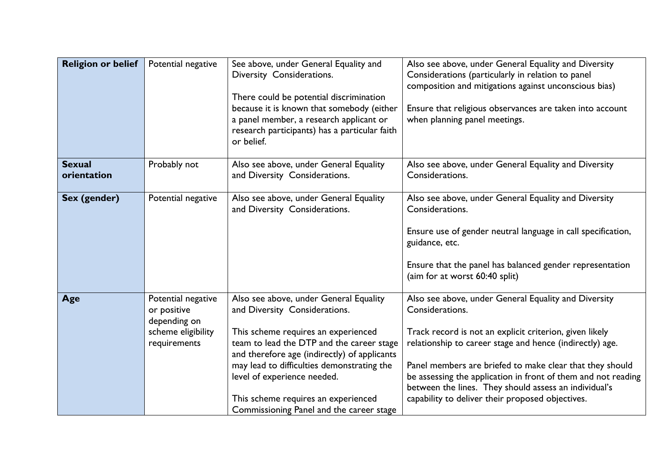| <b>Religion or belief</b>    | Potential negative                                                                      | See above, under General Equality and<br>Diversity Considerations.<br>There could be potential discrimination<br>because it is known that somebody (either<br>a panel member, a research applicant or<br>research participants) has a particular faith<br>or belief.                                                                                                        | Also see above, under General Equality and Diversity<br>Considerations (particularly in relation to panel<br>composition and mitigations against unconscious bias)<br>Ensure that religious observances are taken into account<br>when planning panel meetings.                                                                                                                                                                          |
|------------------------------|-----------------------------------------------------------------------------------------|-----------------------------------------------------------------------------------------------------------------------------------------------------------------------------------------------------------------------------------------------------------------------------------------------------------------------------------------------------------------------------|------------------------------------------------------------------------------------------------------------------------------------------------------------------------------------------------------------------------------------------------------------------------------------------------------------------------------------------------------------------------------------------------------------------------------------------|
| <b>Sexual</b><br>orientation | Probably not                                                                            | Also see above, under General Equality<br>and Diversity Considerations.                                                                                                                                                                                                                                                                                                     | Also see above, under General Equality and Diversity<br>Considerations.                                                                                                                                                                                                                                                                                                                                                                  |
| Sex (gender)                 | Potential negative                                                                      | Also see above, under General Equality<br>and Diversity Considerations.                                                                                                                                                                                                                                                                                                     | Also see above, under General Equality and Diversity<br>Considerations.<br>Ensure use of gender neutral language in call specification,<br>guidance, etc.<br>Ensure that the panel has balanced gender representation<br>(aim for at worst 60:40 split)                                                                                                                                                                                  |
| Age                          | Potential negative<br>or positive<br>depending on<br>scheme eligibility<br>requirements | Also see above, under General Equality<br>and Diversity Considerations.<br>This scheme requires an experienced<br>team to lead the DTP and the career stage<br>and therefore age (indirectly) of applicants<br>may lead to difficulties demonstrating the<br>level of experience needed.<br>This scheme requires an experienced<br>Commissioning Panel and the career stage | Also see above, under General Equality and Diversity<br>Considerations.<br>Track record is not an explicit criterion, given likely<br>relationship to career stage and hence (indirectly) age.<br>Panel members are briefed to make clear that they should<br>be assessing the application in front of them and not reading<br>between the lines. They should assess an individual's<br>capability to deliver their proposed objectives. |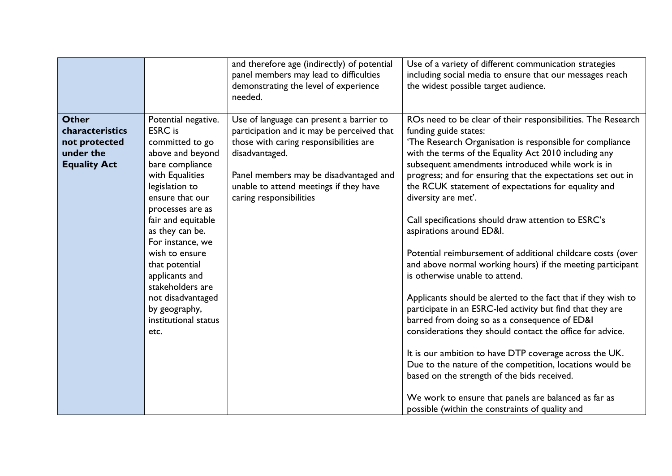|                                                                                      |                                                                                                                                                                                                                                                                                                                                                                                          | and therefore age (indirectly) of potential<br>panel members may lead to difficulties<br>demonstrating the level of experience<br>needed.                                                                                                                         | Use of a variety of different communication strategies<br>including social media to ensure that our messages reach<br>the widest possible target audience.                                                                                                                                                                                                                                                                                                                                                                                                                                                                                                                                                                                                                                                                                                                                                                                                                                                                                                                                                                                                                                  |
|--------------------------------------------------------------------------------------|------------------------------------------------------------------------------------------------------------------------------------------------------------------------------------------------------------------------------------------------------------------------------------------------------------------------------------------------------------------------------------------|-------------------------------------------------------------------------------------------------------------------------------------------------------------------------------------------------------------------------------------------------------------------|---------------------------------------------------------------------------------------------------------------------------------------------------------------------------------------------------------------------------------------------------------------------------------------------------------------------------------------------------------------------------------------------------------------------------------------------------------------------------------------------------------------------------------------------------------------------------------------------------------------------------------------------------------------------------------------------------------------------------------------------------------------------------------------------------------------------------------------------------------------------------------------------------------------------------------------------------------------------------------------------------------------------------------------------------------------------------------------------------------------------------------------------------------------------------------------------|
| <b>Other</b><br>characteristics<br>not protected<br>under the<br><b>Equality Act</b> | Potential negative.<br><b>ESRC</b> is<br>committed to go<br>above and beyond<br>bare compliance<br>with Equalities<br>legislation to<br>ensure that our<br>processes are as<br>fair and equitable<br>as they can be.<br>For instance, we<br>wish to ensure<br>that potential<br>applicants and<br>stakeholders are<br>not disadvantaged<br>by geography,<br>institutional status<br>etc. | Use of language can present a barrier to<br>participation and it may be perceived that<br>those with caring responsibilities are<br>disadvantaged.<br>Panel members may be disadvantaged and<br>unable to attend meetings if they have<br>caring responsibilities | ROs need to be clear of their responsibilities. The Research<br>funding guide states:<br>'The Research Organisation is responsible for compliance<br>with the terms of the Equality Act 2010 including any<br>subsequent amendments introduced while work is in<br>progress; and for ensuring that the expectations set out in<br>the RCUK statement of expectations for equality and<br>diversity are met'.<br>Call specifications should draw attention to ESRC's<br>aspirations around ED&I.<br>Potential reimbursement of additional childcare costs (over<br>and above normal working hours) if the meeting participant<br>is otherwise unable to attend.<br>Applicants should be alerted to the fact that if they wish to<br>participate in an ESRC-led activity but find that they are<br>barred from doing so as a consequence of ED&I<br>considerations they should contact the office for advice.<br>It is our ambition to have DTP coverage across the UK.<br>Due to the nature of the competition, locations would be<br>based on the strength of the bids received.<br>We work to ensure that panels are balanced as far as<br>possible (within the constraints of quality and |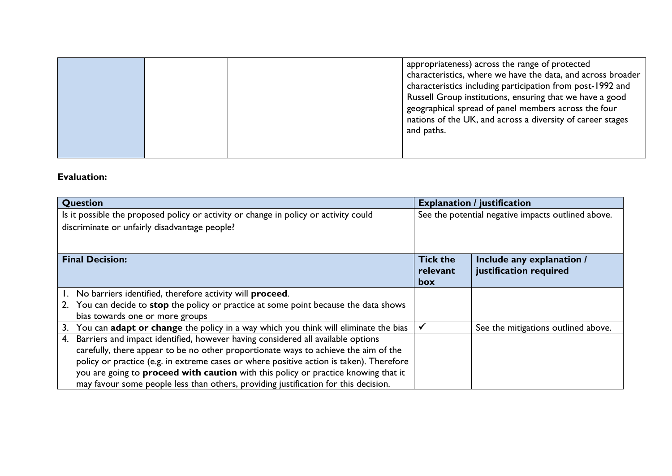|  | appropriateness) across the range of protected<br>characteristics, where we have the data, and across broader<br>characteristics including participation from post-1992 and<br>Russell Group institutions, ensuring that we have a good<br>geographical spread of panel members across the four<br>nations of the UK, and across a diversity of career stages<br>and paths. |
|--|-----------------------------------------------------------------------------------------------------------------------------------------------------------------------------------------------------------------------------------------------------------------------------------------------------------------------------------------------------------------------------|
|--|-----------------------------------------------------------------------------------------------------------------------------------------------------------------------------------------------------------------------------------------------------------------------------------------------------------------------------------------------------------------------------|

### **Evaluation:**

| Question                                                                                  | <b>Explanation / justification</b> |                                                    |  |
|-------------------------------------------------------------------------------------------|------------------------------------|----------------------------------------------------|--|
| Is it possible the proposed policy or activity or change in policy or activity could      |                                    | See the potential negative impacts outlined above. |  |
| discriminate or unfairly disadvantage people?                                             |                                    |                                                    |  |
|                                                                                           |                                    |                                                    |  |
|                                                                                           |                                    |                                                    |  |
| <b>Final Decision:</b>                                                                    | <b>Tick the</b>                    | Include any explanation /                          |  |
|                                                                                           | relevant                           | justification required                             |  |
|                                                                                           | box                                |                                                    |  |
| No barriers identified, therefore activity will proceed.                                  |                                    |                                                    |  |
| 2. You can decide to stop the policy or practice at some point because the data shows     |                                    |                                                    |  |
| bias towards one or more groups                                                           |                                    |                                                    |  |
| You can adapt or change the policy in a way which you think will eliminate the bias<br>3. |                                    | See the mitigations outlined above.                |  |
| Barriers and impact identified, however having considered all available options<br>4.     |                                    |                                                    |  |
| carefully, there appear to be no other proportionate ways to achieve the aim of the       |                                    |                                                    |  |
| policy or practice (e.g. in extreme cases or where positive action is taken). Therefore   |                                    |                                                    |  |
| you are going to proceed with caution with this policy or practice knowing that it        |                                    |                                                    |  |
| may favour some people less than others, providing justification for this decision.       |                                    |                                                    |  |